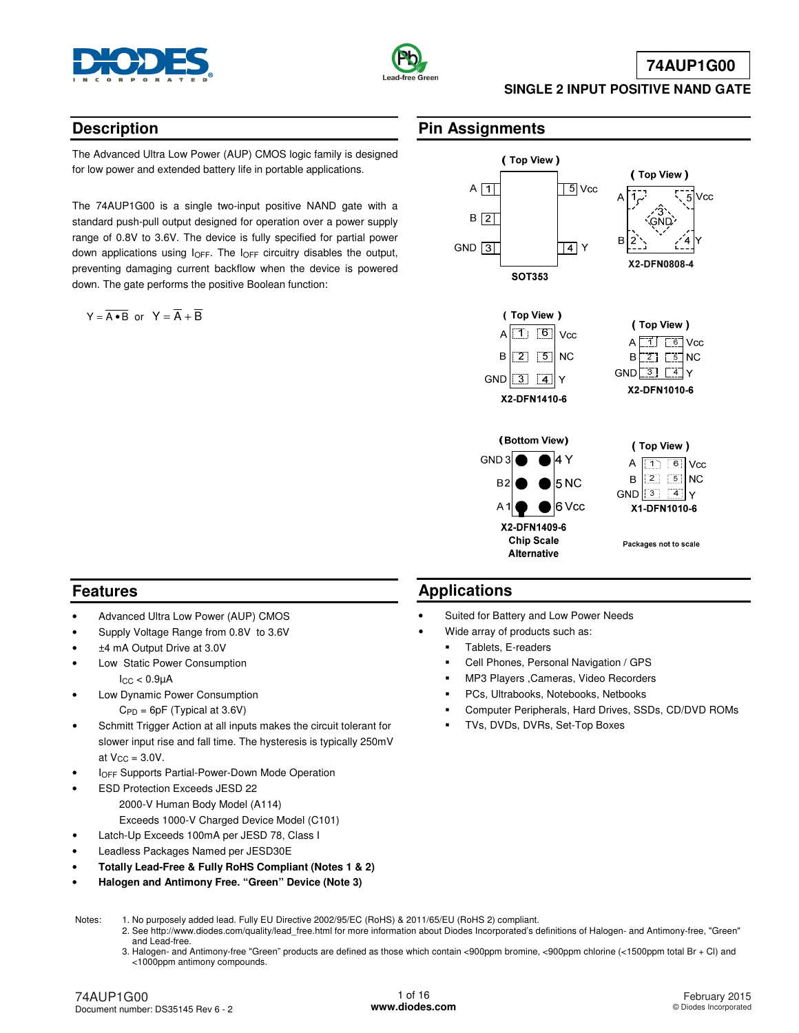



### **74AUP1G00**

#### **SINGLE 2 INPUT POSITIVE NAND GATE**

### **Description**

The Advanced Ultra Low Power (AUP) CMOS logic family is designed for low power and extended battery life in portable applications.

The 74AUP1G00 is a single two-input positive NAND gate with a standard push-pull output designed for operation over a power supply range of 0.8V to 3.6V. The device is fully specified for partial power down applications using  $I_{OFF}$ . The  $I_{OFF}$  circuitry disables the output, preventing damaging current backflow when the device is powered down. The gate performs the positive Boolean function:

 $Y = \overline{A \cdot B}$  or  $Y = \overline{A} + \overline{B}$ 

### **Pin Assignments**



### **Features**

- Advanced Ultra Low Power (AUP) CMOS
- Supply Voltage Range from 0.8V to 3.6V
- ±4 mA Output Drive at 3.0V
- Low Static Power Consumption  $lcc < 0.9<sub>u</sub>A$
- Low Dynamic Power Consumption  $C_{PD} = 6pF$  (Typical at 3.6V)
- Schmitt Trigger Action at all inputs makes the circuit tolerant for slower input rise and fall time. The hysteresis is typically 250mV at  $V_{CC} = 3.0V$ .
- **IOFF Supports Partial-Power-Down Mode Operation**
- ESD Protection Exceeds JESD 22 2000-V Human Body Model (A114) Exceeds 1000-V Charged Device Model (C101)
- Latch-Up Exceeds 100mA per JESD 78, Class I
- Leadless Packages Named per JESD30E
- **Totally Lead-Free & Fully RoHS Compliant (Notes 1 & 2)**
- **Halogen and Antimony Free. "Green" Device (Note 3)**

### **Applications**

- Suited for Battery and Low Power Needs
- Wide array of products such as:
	- Tablets, E-readers
	- Cell Phones, Personal Navigation / GPS
	- MP3 Players ,Cameras, Video Recorders
	- PCs, Ultrabooks, Notebooks, Netbooks
	- Computer Peripherals, Hard Drives, SSDs, CD/DVD ROMs
	- TVs, DVDs, DVRs, Set-Top Boxes

Notes: 1. No purposely added lead. Fully EU Directive 2002/95/EC (RoHS) & 2011/65/EU (RoHS 2) compliant.

- 2. See [http://www.diodes.com/quality/lead\\_free.html fo](http://www.diodes.com/quality/lead_free.html)r more information about Diodes Incorporated's definitions of Halogen- and Antimony-free, "Green" and Lead-free.
	- 3. Halogen- and Antimony-free "Green" products are defined as those which contain <900ppm bromine, <900ppm chlorine (<1500ppm total Br + Cl) and <1000ppm antimony compounds.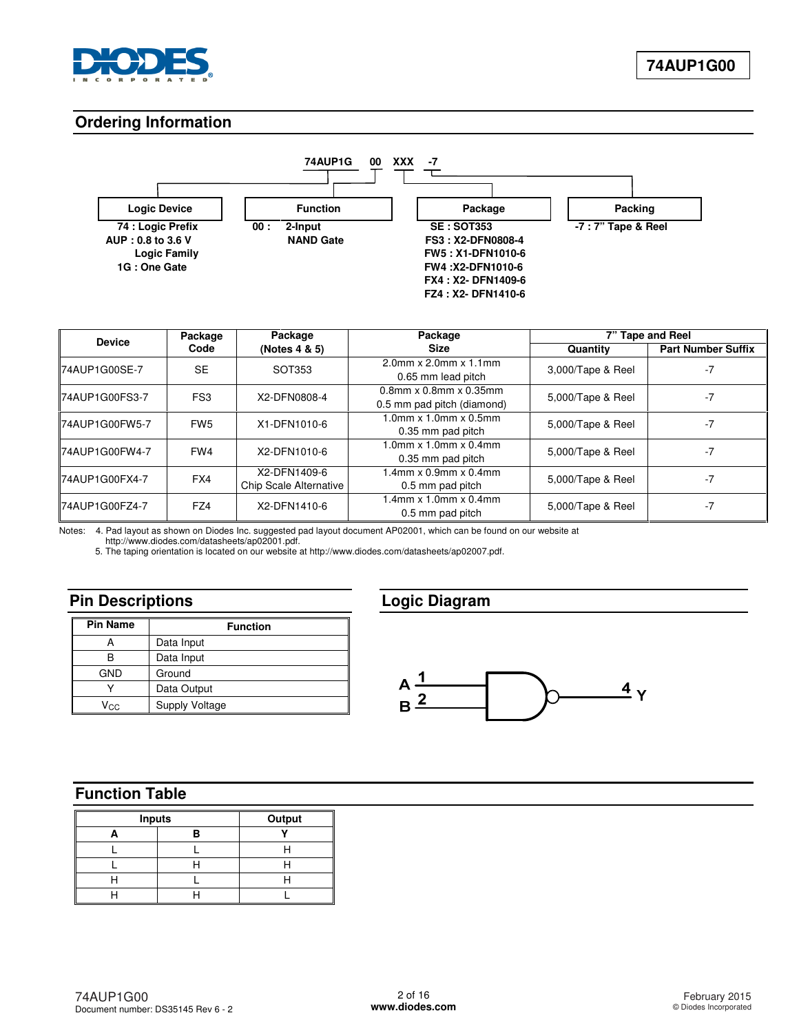

### **Ordering Information**



| <b>Device</b>          | Package         | Package                                | Package                                                       |                   | 7" Tape and Reel          |
|------------------------|-----------------|----------------------------------------|---------------------------------------------------------------|-------------------|---------------------------|
|                        | Code            | (Notes 4 & 5)                          | <b>Size</b>                                                   | Quantity          | <b>Part Number Suffix</b> |
| 74AUP1G00SE-7          | <b>SE</b>       | SOT353                                 | $2.0$ mm x $2.0$ mm x $1.1$ mm<br>0.65 mm lead pitch          | 3,000/Tape & Reel | -7                        |
| <b>I74AUP1G00FS3-7</b> | FS <sub>3</sub> | X2-DFN0808-4                           | $0.8$ mm x $0.8$ mm x $0.35$ mm<br>0.5 mm pad pitch (diamond) | 5,000/Tape & Reel | -7                        |
| 74AUP1G00FW5-7         | FW <sub>5</sub> | X1-DFN1010-6                           | $1.0$ mm x $1.0$ mm x $0.5$ mm<br>0.35 mm pad pitch           | 5,000/Tape & Reel | -7                        |
| I74AUP1G00FW4-7        | FW4             | X2-DFN1010-6                           | $1.0$ mm $\times$ 1.0mm $\times$ 0.4mm<br>0.35 mm pad pitch   | 5,000/Tape & Reel | -7                        |
| 74AUP1G00FX4-7         | FX4             | X2-DFN1409-6<br>Chip Scale Alternative | $1.4$ mm x 0.9mm x 0.4mm<br>0.5 mm pad pitch                  | 5,000/Tape & Reel | -7                        |
| <b>IZ4AUP1G00FZ4-7</b> | FZ4             | X2-DFN1410-6                           | $1.4$ mm x $1.0$ mm x $0.4$ mm<br>0.5 mm pad pitch            | 5,000/Tape & Reel | -7                        |

Notes: 4. Pad layout as shown on Diodes Inc. suggested pad layout document AP02001, which can be found on our website at

[http://www.diodes.com/datasheets/ap02001.pdf.](http://www.diodes.com/datasheets/ap02001.pdf) 

5. The taping orientation is located on our website at [http://www.diodes.com/datasheets/ap02007.pdf.](http://www.diodes.com/datasheets/ap02007.pdf) 

### **Pin Descriptions**

| <b>Pin Name</b> | <b>Function</b>       |
|-----------------|-----------------------|
|                 | Data Input            |
| R               | Data Input            |
| <b>GND</b>      | Ground                |
|                 | Data Output           |
| Vcc.            | <b>Supply Voltage</b> |

### **Logic Diagram**



### **Function Table**

| Inputs |  |  |  |  |  |  |
|--------|--|--|--|--|--|--|
|        |  |  |  |  |  |  |
|        |  |  |  |  |  |  |
|        |  |  |  |  |  |  |
|        |  |  |  |  |  |  |
|        |  |  |  |  |  |  |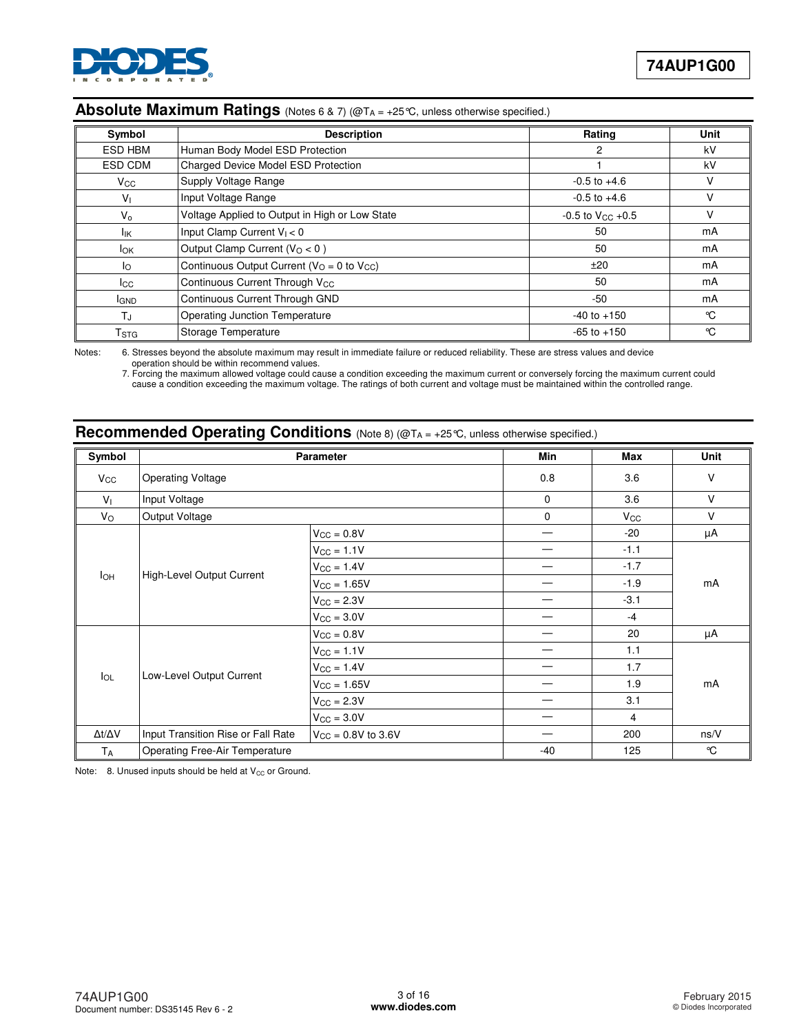

# **Absolute Maximum Ratings** (Notes 6 & 7) (@TA = +25°C, unless otherwise specified.)

| Symbol                    | <b>Description</b>                              | Rating                  | <b>Unit</b> |
|---------------------------|-------------------------------------------------|-------------------------|-------------|
| ESD HBM                   | Human Body Model ESD Protection                 | 2                       | kV          |
| ESD CDM                   | <b>Charged Device Model ESD Protection</b>      |                         | kV          |
| $V_{\rm CC}$              | Supply Voltage Range                            | $-0.5$ to $+4.6$        | v           |
| Vı                        | Input Voltage Range                             | $-0.5$ to $+4.6$        | V           |
| $V_{\alpha}$              | Voltage Applied to Output in High or Low State  | $-0.5$ to $V_{CC}$ +0.5 | v           |
| Ιıκ                       | Input Clamp Current $V_1 < 0$                   | 50                      | mA          |
| <b>I</b> <sub>OK</sub>    | Output Clamp Current ( $VO < 0$ )               | 50                      | mA          |
| Ιo                        | Continuous Output Current ( $VO = 0$ to $VCC$ ) | ±20                     | mA          |
| <b>I</b> cc               | Continuous Current Through V <sub>CC</sub>      | 50                      | mA          |
| <b>I</b> GND              | Continuous Current Through GND                  | -50                     | mA          |
| TJ.                       | Operating Junction Temperature                  | $-40$ to $+150$         | °C          |
| $\mathsf{T}_{\text{STG}}$ | Storage Temperature                             | $-65$ to $+150$         | °C          |

Notes: 6. Stresses beyond the absolute maximum may result in immediate failure or reduced reliability. These are stress values and device operation should be within recommend values.

 7. Forcing the maximum allowed voltage could cause a condition exceeding the maximum current or conversely forcing the maximum current could cause a condition exceeding the maximum voltage. The ratings of both current and voltage must be maintained within the controlled range.

# **Recommended Operating Conditions** (Note 8) (@TA = +25°C, unless otherwise specified.)

| Symbol         |                                       | Parameter               | Min   | Max            | Unit   |  |
|----------------|---------------------------------------|-------------------------|-------|----------------|--------|--|
| $V_{\rm CC}$   | <b>Operating Voltage</b>              |                         | 0.8   | 3.6            | $\vee$ |  |
| V <sub>1</sub> | Input Voltage                         |                         | 0     | 3.6            | $\vee$ |  |
| $V_{\rm O}$    | Output Voltage                        |                         | 0     | $V_{\rm CC}$   | $\vee$ |  |
|                |                                       | $V_{CC} = 0.8V$         |       | $-20$          | μA     |  |
|                |                                       | $V_{CC} = 1.1V$         |       | $-1.1$         |        |  |
|                |                                       | $V_{CC} = 1.4V$         |       | $-1.7$         |        |  |
| $I_{OH}$       | High-Level Output Current             | $V_{CC} = 1.65V$        |       | $-1.9$         | mA     |  |
|                |                                       | $V_{CC} = 2.3V$         |       | $-3.1$         |        |  |
|                |                                       | $V_{CC} = 3.0V$         |       | $-4$           |        |  |
|                |                                       | $V_{\text{CC}} = 0.8V$  |       | 20             | μA     |  |
|                |                                       | $V_{CC} = 1.1V$         |       | 1.1            |        |  |
|                |                                       | $V_{CC} = 1.4V$         |       | 1.7            |        |  |
| $I_{OL}$       | Low-Level Output Current              | $V_{CC} = 1.65V$        |       | 1.9            | mA     |  |
|                |                                       | $V_{CC} = 2.3V$         |       | 3.1            |        |  |
|                |                                       | $V_{CC} = 3.0V$         |       | $\overline{4}$ |        |  |
| Δt/ΔV          | Input Transition Rise or Fall Rate    | $V_{CC} = 0.8V$ to 3.6V |       | 200            | ns/V   |  |
| TA             | <b>Operating Free-Air Temperature</b> |                         | $-40$ | 125            | °C     |  |

Note:  $8.$  Unused inputs should be held at  $V_{CC}$  or Ground.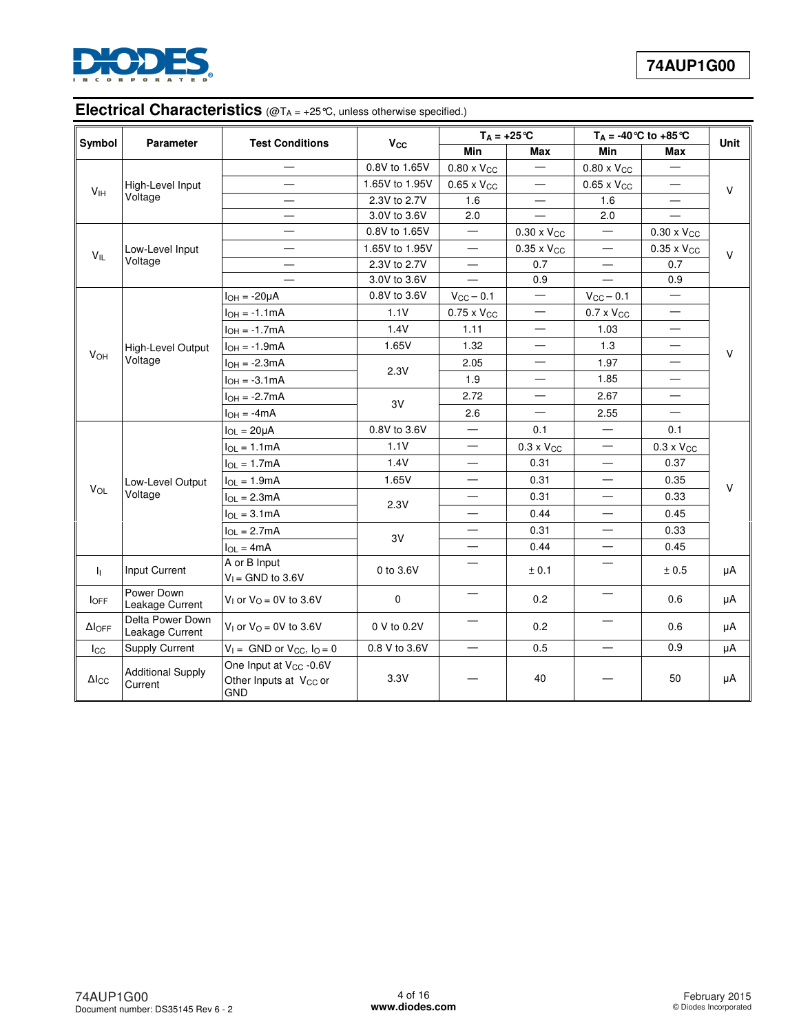

# **Electrical Characteristics** (@T<sub>A</sub> = +25°C, unless otherwise specified.)

| Symbol                | <b>Parameter</b>                    | <b>Test Conditions</b>                                                                 |                | $T_A = +25$ °C           |                          | $T_A = -40$ °C to $+85$ °C     |                          | <b>Unit</b> |  |
|-----------------------|-------------------------------------|----------------------------------------------------------------------------------------|----------------|--------------------------|--------------------------|--------------------------------|--------------------------|-------------|--|
|                       |                                     |                                                                                        | Vcc            | Min                      | <b>Max</b>               | Min                            | <b>Max</b>               |             |  |
|                       |                                     |                                                                                        | 0.8V to 1.65V  | $0.80 \times V_{CC}$     | $\qquad \qquad -$        | $0.80 \times V_{CC}$           |                          |             |  |
| V <sub>IH</sub>       | High-Level Input                    |                                                                                        | 1.65V to 1.95V | $0.65 \times V_{CC}$     | $\overline{\phantom{0}}$ | $0.65 \times V_{CC}$           |                          | V           |  |
|                       | Voltage                             |                                                                                        | 2.3V to 2.7V   | 1.6                      |                          | 1.6                            |                          |             |  |
|                       |                                     |                                                                                        | 3.0V to 3.6V   | 2.0                      |                          | 2.0                            |                          |             |  |
|                       |                                     |                                                                                        | 0.8V to 1.65V  |                          | $0.30 \times V_{CC}$     | $\equiv$                       | $0.30 \times V_{CC}$     |             |  |
| $V_{IL}$              | Low-Level Input                     |                                                                                        | 1.65V to 1.95V | $\equiv$                 | $0.35 \times V_{CC}$     | $\qquad \qquad \longleftarrow$ | $0.35 \times V_{CC}$     | $\vee$      |  |
|                       | Voltage                             |                                                                                        | 2.3V to 2.7V   |                          | 0.7                      |                                | 0.7                      |             |  |
|                       |                                     |                                                                                        | 3.0V to 3.6V   |                          | 0.9                      | $\overline{\phantom{0}}$       | 0.9                      |             |  |
|                       |                                     | $I_{OH} = -20\mu A$                                                                    | 0.8V to 3.6V   | $V_{CC}$ - 0.1           | $\qquad \qquad -$        | $V_{CC}$ - 0.1                 | $\equiv$                 |             |  |
|                       |                                     | $I_{OH} = -1.1mA$                                                                      | 1.1V           | $0.75 \times V_{CC}$     | $\qquad \qquad -$        | $0.7 \times V_{CC}$            | $\overline{\phantom{0}}$ |             |  |
|                       |                                     | $I_{OH} = -1.7mA$                                                                      | 1.4V           | 1.11                     | $\equiv$                 | 1.03                           |                          |             |  |
|                       | High-Level Output                   | $I_{OH} = -1.9mA$                                                                      | 1.65V          | 1.32                     |                          | 1.3                            | —                        | V           |  |
| <b>V<sub>OH</sub></b> | Voltage                             | $I_{OH} = -2.3mA$                                                                      | 2.3V           | 2.05                     | $\equiv$                 | 1.97                           |                          |             |  |
|                       |                                     | $I_{OH} = -3.1mA$                                                                      |                | 1.9                      |                          | 1.85                           |                          |             |  |
|                       |                                     | $I_{OH} = -2.7mA$                                                                      |                | 2.72                     | $\overline{\phantom{0}}$ | 2.67                           | —                        |             |  |
|                       |                                     | $I_{OH} = -4mA$                                                                        | 3V             | 2.6                      | $=$                      | 2.55                           | $\overline{\phantom{0}}$ |             |  |
|                       |                                     | $I_{OL} = 20 \mu A$                                                                    | 0.8V to 3.6V   |                          | 0.1                      |                                | 0.1                      |             |  |
|                       |                                     | $I_{OL} = 1.1mA$                                                                       | 1.1V           | $\overline{\phantom{0}}$ | $0.3 \times V_{CC}$      | $\qquad \qquad \longleftarrow$ | $0.3 \times V_{CC}$      |             |  |
|                       |                                     | $I_{OL} = 1.7mA$                                                                       | 1.4V           |                          | 0.31                     | $\equiv$                       | 0.37                     |             |  |
|                       | Low-Level Output                    | $I_{OL} = 1.9mA$                                                                       | 1.65V          |                          | 0.31                     |                                | 0.35                     |             |  |
| $V_{OL}$              | Voltage                             | $I_{OL} = 2.3mA$                                                                       |                |                          | 0.31                     |                                | 0.33                     | V           |  |
|                       |                                     | $I_{OL} = 3.1mA$                                                                       | 2.3V           | —                        | 0.44                     |                                | 0.45                     |             |  |
|                       |                                     | $I_{OL} = 2.7mA$                                                                       |                | $\overline{\phantom{0}}$ | 0.31                     | $\qquad \qquad \longleftarrow$ | 0.33                     |             |  |
|                       |                                     | $I_{OL} = 4mA$                                                                         | 3V             | $\overline{\phantom{0}}$ | 0.44                     | $\qquad \qquad \longleftarrow$ | 0.45                     |             |  |
| h.                    | Input Current                       | A or B Input<br>$V_1$ = GND to 3.6V                                                    | 0 to 3.6V      |                          | ± 0.1                    |                                | ± 0.5                    | μA          |  |
| $I_{\text{OFF}}$      | Power Down<br>Leakage Current       | $V_1$ or $V_0 = 0V$ to 3.6V                                                            | $\mathbf 0$    | $=$                      | 0.2                      | $\equiv$                       | 0.6                      | μA          |  |
| $\Delta I$ OFF        | Delta Power Down<br>Leakage Current | $V_1$ or $V_0 = 0V$ to 3.6V                                                            | 0 V to 0.2V    |                          | 0.2                      |                                | 0.6                      | μA          |  |
| $_{\rm lcc}$          | <b>Supply Current</b>               | $V_1 =$ GND or $V_{CC}$ , $I_Q = 0$                                                    | 0.8 V to 3.6V  | $\equiv$                 | 0.5                      |                                | 0.9                      | μA          |  |
| $\Delta$ Icc          | <b>Additional Supply</b><br>Current | One Input at V <sub>CC</sub> -0.6V<br>Other Inputs at V <sub>CC</sub> or<br><b>GND</b> | 3.3V           |                          | 40                       |                                | 50                       | μA          |  |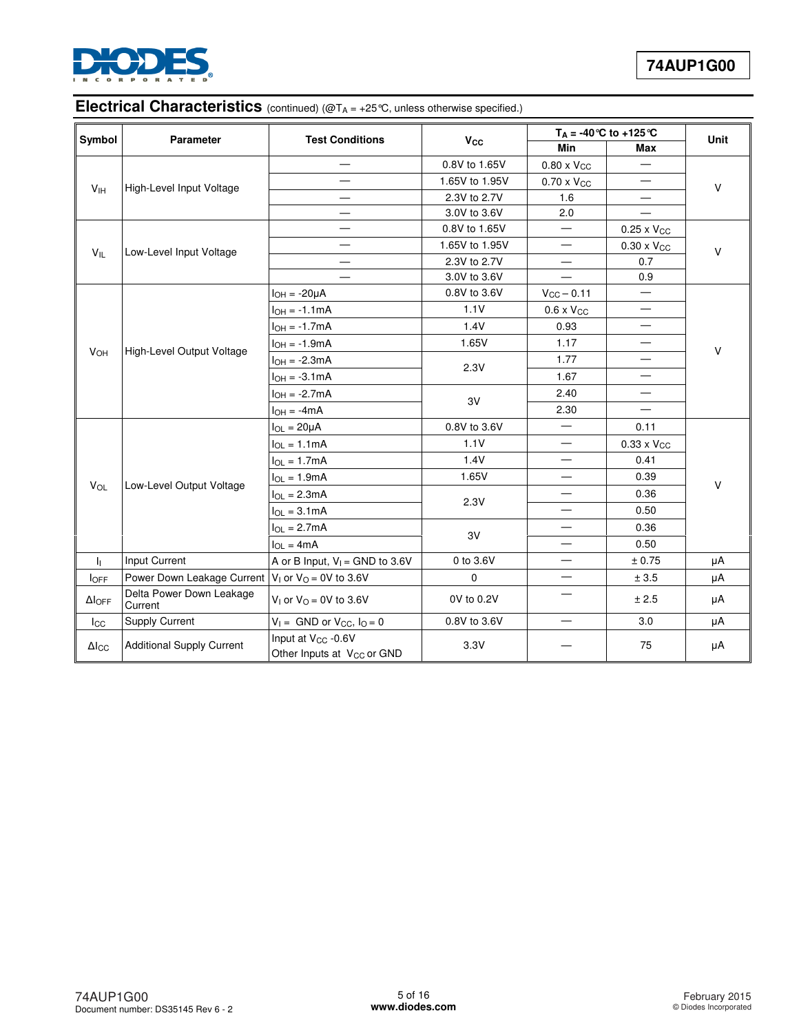

# **Electrical Characteristics** (continued) (@T<sub>A</sub> = +25°C, unless otherwise specified.)

| Symbol                | Parameter                                              | <b>Test Conditions</b>                                                    |                       |                          | $T_A = -40$ °C to $+125$ °C    | <b>Unit</b> |  |
|-----------------------|--------------------------------------------------------|---------------------------------------------------------------------------|-----------------------|--------------------------|--------------------------------|-------------|--|
|                       |                                                        |                                                                           | <b>V<sub>cc</sub></b> | <b>Min</b>               | Max                            |             |  |
|                       |                                                        |                                                                           | 0.8V to 1.65V         | $0.80 \times V_{CC}$     |                                |             |  |
| V <sub>IH</sub>       | High-Level Input Voltage                               |                                                                           | 1.65V to 1.95V        | $0.70 \times V_{CC}$     |                                | $\vee$      |  |
|                       |                                                        |                                                                           | 2.3V to 2.7V          | 1.6                      | $\overline{\phantom{0}}$       |             |  |
|                       |                                                        |                                                                           | 3.0V to 3.6V          | 2.0                      |                                |             |  |
|                       |                                                        |                                                                           | 0.8V to 1.65V         |                          | $0.25 \times V_{CC}$           |             |  |
| $V_{IL}$              | Low-Level Input Voltage                                | $\overline{\phantom{0}}$                                                  | 1.65V to 1.95V        | —                        | $0.30 \times V_{CC}$           | v           |  |
|                       |                                                        |                                                                           | 2.3V to 2.7V          |                          | 0.7                            |             |  |
|                       |                                                        |                                                                           | 3.0V to 3.6V          |                          | 0.9                            |             |  |
|                       |                                                        | $I_{OH} = -20\mu A$                                                       | 0.8V to 3.6V          | $V_{CC} - 0.11$          | $\equiv$                       |             |  |
|                       |                                                        | $I_{OH} = -1.1mA$                                                         | 1.1V                  | $0.6 \times V_{CC}$      |                                |             |  |
|                       |                                                        | $IOH = -1.7mA$                                                            | 1.4V                  | 0.93                     |                                |             |  |
|                       |                                                        | $I_{OH} = -1.9mA$                                                         | 1.65V                 | 1.17                     | $\overline{\phantom{0}}$       |             |  |
| <b>V<sub>OH</sub></b> | High-Level Output Voltage                              | $I_{OH} = -2.3mA$                                                         |                       | 1.77                     |                                | V           |  |
|                       |                                                        | $I_{OH} = -3.1mA$                                                         | 2.3V                  | 1.67                     | $\overbrace{\phantom{123321}}$ |             |  |
|                       |                                                        | $I_{OH} = -2.7mA$                                                         | 3V                    | 2.40                     | $\overline{\phantom{0}}$       |             |  |
|                       |                                                        | $I_{OH} = -4mA$                                                           |                       | 2.30                     |                                |             |  |
|                       |                                                        | $I_{OL} = 20 \mu A$                                                       | 0.8V to 3.6V          | $\overline{\phantom{0}}$ | 0.11                           |             |  |
|                       |                                                        | $I_{OL} = 1.1mA$                                                          | 1.1V                  | $\overline{\phantom{0}}$ | $0.33 \times V_{CC}$           |             |  |
|                       |                                                        | $I_{OL} = 1.7mA$                                                          | 1.4V                  |                          | 0.41                           |             |  |
|                       |                                                        | $I_{OL} = 1.9mA$                                                          | 1.65V                 |                          | 0.39                           | V           |  |
| VOL                   | Low-Level Output Voltage                               | $I_{OL} = 2.3mA$                                                          |                       |                          | 0.36                           |             |  |
|                       |                                                        | $I_{OL} = 3.1mA$                                                          | 2.3V                  |                          | 0.50                           |             |  |
|                       |                                                        | $I_{OL} = 2.7mA$                                                          |                       | $\equiv$                 | 0.36                           |             |  |
|                       |                                                        | $I_{OL} = 4mA$                                                            | 3V                    |                          | 0.50                           |             |  |
| h.                    | Input Current                                          | A or B Input, $V_1$ = GND to 3.6V                                         | 0 to 3.6V             |                          | ± 0.75                         | μA          |  |
| <b>l</b> OFF          | Power Down Leakage Current $V_1$ or $V_0 = 0V$ to 3.6V |                                                                           | 0                     | —                        | ± 3.5                          | μA          |  |
| $\Delta$ loff         | Delta Power Down Leakage<br>Current                    | V <sub>1</sub> or $V_{O} = 0V$ to 3.6V                                    | 0V to 0.2V            | —                        | ± 2.5                          | μA          |  |
| $_{\rm lcc}$          | Supply Current                                         | $V_1 =$ GND or $V_{CC}$ , $I_Q = 0$                                       | 0.8V to 3.6V          | —                        | 3.0                            | μA          |  |
| $\Delta I_{\rm CC}$   | <b>Additional Supply Current</b>                       | Input at V <sub>CC</sub> - 0.6V<br>Other Inputs at V <sub>CC</sub> or GND | 3.3V                  |                          | 75                             | μA          |  |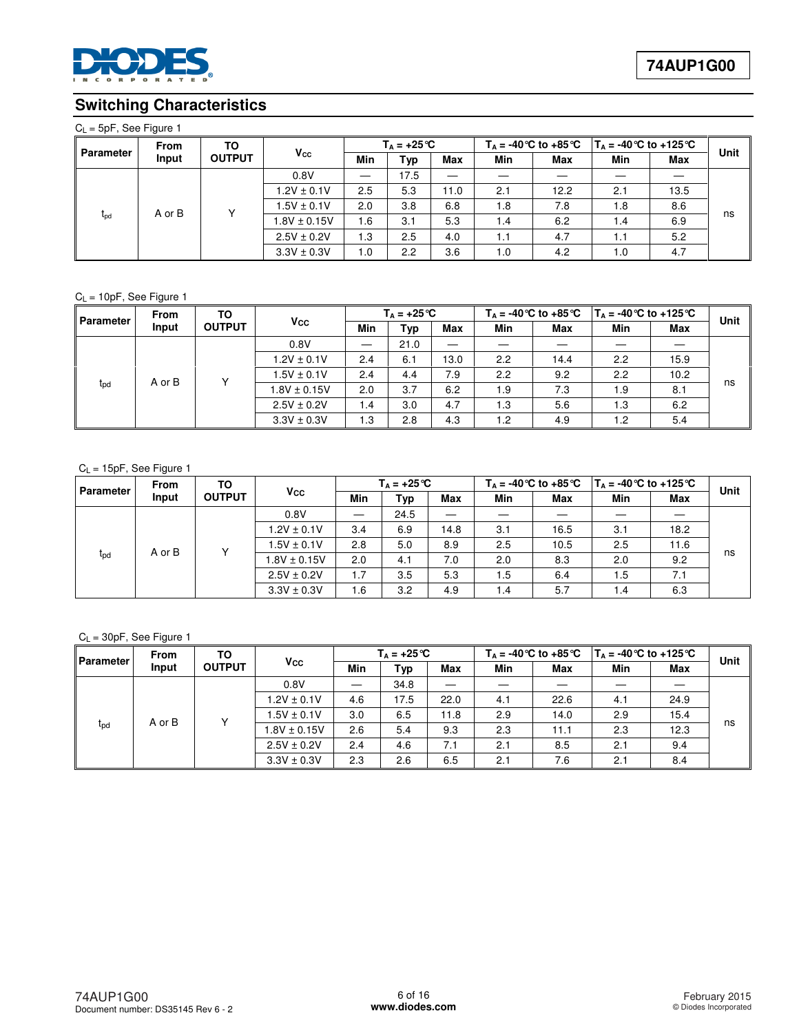

# **Switching Characteristics**

#### $C_L = 5pF$ , See Figure 1

| <b>Parameter</b> | <b>From</b> | ΤО<br><b>OUTPUT</b> | $V_{\rm CC}$     |     | $T_{\text{A}} = +25^{\circ}C$ |            |     |            | $T_{\Delta}$ = -40 °C to +85 °C   $T_{\Delta}$ = -40 °C to +125 °C |      | Unit |
|------------------|-------------|---------------------|------------------|-----|-------------------------------|------------|-----|------------|--------------------------------------------------------------------|------|------|
|                  | Input       |                     |                  | Min | Typ                           | <b>Max</b> | Min | <b>Max</b> | Min                                                                | Max  |      |
|                  |             |                     | 0.8V             |     | 17.5                          | —          |     |            |                                                                    |      |      |
|                  |             |                     | $1.2V \pm 0.1V$  | 2.5 | 5.3                           | 11.0       | 2.1 | 12.2       | 2.1                                                                | 13.5 |      |
|                  | A or B      |                     | $1.5V \pm 0.1V$  | 2.0 | 3.8                           | 6.8        | 1.8 | 7.8        | 1.8                                                                | 8.6  |      |
| $t_{\text{pd}}$  |             |                     | $1.8V \pm 0.15V$ | 1.6 | 3.1                           | 5.3        | 1.4 | 6.2        | 1.4                                                                | 6.9  | ns   |
|                  |             |                     | $2.5V \pm 0.2V$  | 1.3 | 2.5                           | 4.0        | 1.1 | 4.7        | 1.1                                                                | 5.2  |      |
|                  |             |                     | $3.3V \pm 0.3V$  | 0.1 | 2.2                           | 3.6        | 1.0 | 4.2        | 1.0                                                                | 4.7  |      |

#### $C_L = 10pF$ , See Figure 1

| Parameter       | <b>From</b><br>Input | ТО<br><b>OUTPUT</b> | <b>V<sub>cc</sub></b> |      | $T_{\text{A}} = +25^{\circ}C$ |      | $T_{\text{A}}$ = -40 °C to +85 °C |      | $T_{\text{A}}$ = -40 °C to +125 °C |      | Unit |
|-----------------|----------------------|---------------------|-----------------------|------|-------------------------------|------|-----------------------------------|------|------------------------------------|------|------|
|                 |                      |                     |                       | Min  | <b>Typ</b>                    | Max  | Min                               | Max  | Min                                | Max  |      |
|                 | A or B               |                     | 0.8V                  |      | 21.0                          | _    |                                   |      |                                    |      |      |
|                 |                      | $\checkmark$        | $1.2V \pm 0.1V$       | 2.4  | 6.1                           | 13.0 | 2.2                               | 14.4 | 2.2                                | 15.9 | ns   |
|                 |                      |                     | $1.5V \pm 0.1V$       | 2.4  | 4.4                           | 7.9  | 2.2                               | 9.2  | 2.2                                | 10.2 |      |
| $t_{\text{pd}}$ |                      |                     | $1.8V \pm 0.15V$      | 2.0  | 3.7                           | 6.2  | 1.9                               | 7.3  | 1.9                                | 8.1  |      |
|                 |                      |                     | $2.5V \pm 0.2V$       | 1.4  | 3.0                           | 4.7  | 1.3                               | 5.6  | 1.3                                | 6.2  |      |
|                 |                      |                     | $3.3V \pm 0.3V$       | 3. ا | 2.8                           | 4.3  | 1.2                               | 4.9  | 1.2                                | 5.4  |      |

#### CL = 15pF, See Figure 1

| Parameter       | <b>From</b><br>Input | TO<br><b>OUTPUT</b> |                  |     | $T_{\text{A}} = +25^{\circ}C$ |            |     | $T_{\text{A}}$ = -40 °C to +85 °C |     | $T_{\text{A}}$ = -40 °C to +125 °C |      |
|-----------------|----------------------|---------------------|------------------|-----|-------------------------------|------------|-----|-----------------------------------|-----|------------------------------------|------|
|                 |                      |                     | $V_{\rm CC}$     | Min | Typ                           | <b>Max</b> | Min | <b>Max</b>                        | Min | <b>Max</b>                         | Unit |
|                 | A or B               |                     | 0.8V             | —   | 24.5                          |            |     |                                   |     |                                    |      |
|                 |                      |                     | $1.2V \pm 0.1V$  | 3.4 | 6.9                           | 14.8       | 3.1 | 16.5                              | 3.1 | 18.2                               | ns   |
|                 |                      |                     | $1.5V \pm 0.1V$  | 2.8 | 5.0                           | 8.9        | 2.5 | 10.5                              | 2.5 | 11.6                               |      |
| t <sub>pd</sub> |                      |                     | $1.8V \pm 0.15V$ | 2.0 | 4.1                           | 7.0        | 2.0 | 8.3                               | 2.0 | 9.2                                |      |
|                 |                      |                     | $2.5V \pm 0.2V$  | 1.7 | 3.5                           | 5.3        | 1.5 | 6.4                               | 1.5 | 7.1                                |      |
|                 |                      |                     | $3.3V \pm 0.3V$  | 1.6 | 3.2                           | 4.9        | 1.4 | 5.7                               | 1.4 | 6.3                                |      |

#### $C_L = 30pF$ , See Figure 1

| Parameter       | <b>From</b><br>Input | ТО<br><b>OUTPUT</b> |                  |     | $T_{\text{A}} = +25^{\circ}C$ |            |     | $T_{\text{A}}$ = -40 °C to +85 °C |     | $T_{\text{A}}$ = -40 °C to +125 °C |      |
|-----------------|----------------------|---------------------|------------------|-----|-------------------------------|------------|-----|-----------------------------------|-----|------------------------------------|------|
|                 |                      |                     | $V_{\rm CC}$     | Min | Typ                           | <b>Max</b> | Min | Max                               | Min | Max                                | Unit |
|                 | A or B               |                     | 0.8V             |     | 34.8                          | _          |     |                                   |     |                                    |      |
|                 |                      | Y                   | $1.2V \pm 0.1V$  | 4.6 | 17.5                          | 22.0       | 4.1 | 22.6                              | 4.1 | 24.9                               | ns   |
|                 |                      |                     | $1.5V \pm 0.1V$  | 3.0 | 6.5                           | 11.8       | 2.9 | 14.0                              | 2.9 | 15.4                               |      |
| t <sub>pd</sub> |                      |                     | $1.8V \pm 0.15V$ | 2.6 | 5.4                           | 9.3        | 2.3 | 11.1                              | 2.3 | 12.3                               |      |
|                 |                      |                     | $2.5V \pm 0.2V$  | 2.4 | 4.6                           | 7.1        | 2.1 | 8.5                               | 2.1 | 9.4                                |      |
|                 |                      |                     | $3.3V \pm 0.3V$  | 2.3 | 2.6                           | 6.5        | 2.1 | 7.6                               | 2.1 | 8.4                                |      |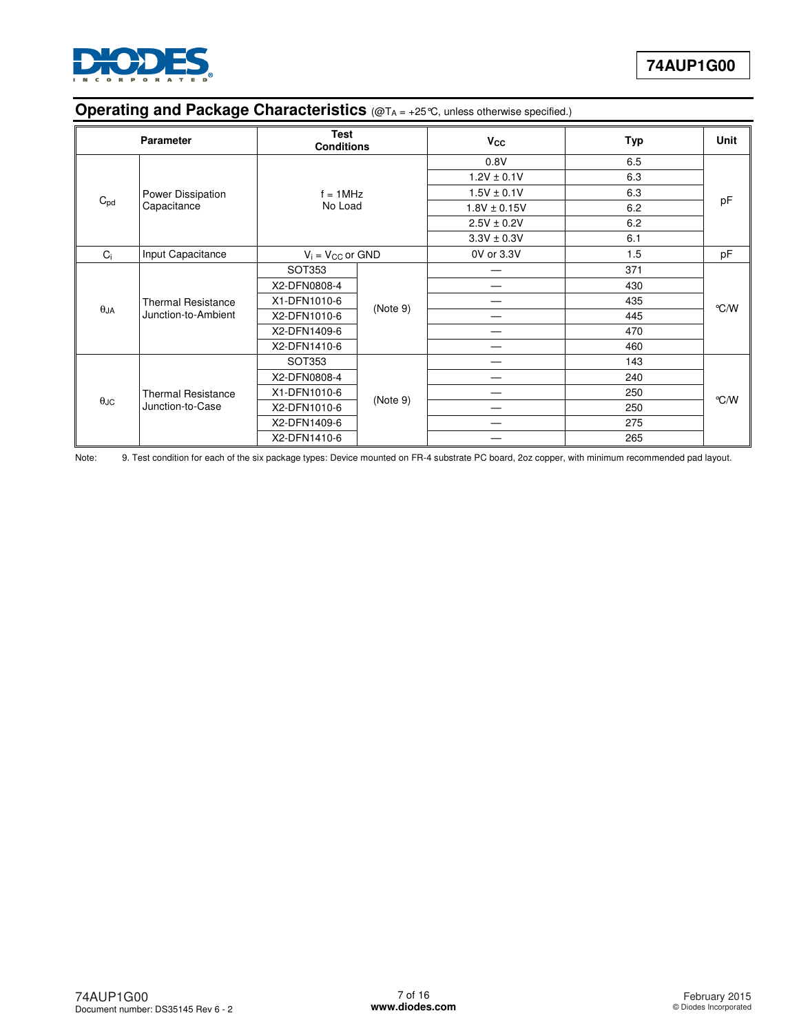

# **Operating and Package Characteristics** (@TA = +25°C, unless otherwise specified.)

|             | <b>Parameter</b>          | Test<br><b>Conditions</b> |          | $V_{\rm CC}$     | <b>Typ</b> | Unit |
|-------------|---------------------------|---------------------------|----------|------------------|------------|------|
|             |                           |                           |          | 0.8V             | 6.5        |      |
|             |                           |                           |          | $1.2V \pm 0.1V$  | 6.3        |      |
|             | Power Dissipation         | $f = 1$ MHz               |          | $1.5V \pm 0.1V$  | 6.3        |      |
| $C_{pd}$    | Capacitance               | No Load                   |          | $1.8V \pm 0.15V$ | 6.2        | pF   |
|             |                           |                           |          | $2.5V \pm 0.2V$  | 6.2        |      |
|             |                           |                           |          | $3.3V \pm 0.3V$  | 6.1        |      |
| $C_i$       | Input Capacitance         | $V_i = V_{CC}$ or $GND$   |          | 0V or 3.3V       | 1.5        | pF   |
|             |                           | SOT353                    |          |                  | 371        |      |
|             |                           | X2-DFN0808-4              | (Note 9) |                  | 430        |      |
|             | <b>Thermal Resistance</b> | X1-DFN1010-6              |          |                  | 435        |      |
| $\theta$ JA | Junction-to-Ambient       | X2-DFN1010-6              |          |                  | 445        | °C/W |
|             |                           | X2-DFN1409-6              |          |                  | 470        |      |
|             |                           | X2-DFN1410-6              |          | --               | 460        |      |
|             |                           | SOT353                    |          |                  | 143        |      |
|             |                           | X2-DFN0808-4              |          | –                | 240        |      |
|             | <b>Thermal Resistance</b> | X1-DFN1010-6              |          |                  | 250        |      |
| $\theta$ JC | Junction-to-Case          | X2-DFN1010-6              | (Note 9) |                  | 250        | °C/W |
|             |                           | X2-DFN1409-6              |          |                  | 275        |      |
|             |                           | X2-DFN1410-6              |          |                  | 265        |      |

Note: 9. Test condition for each of the six package types: Device mounted on FR-4 substrate PC board, 2oz copper, with minimum recommended pad layout.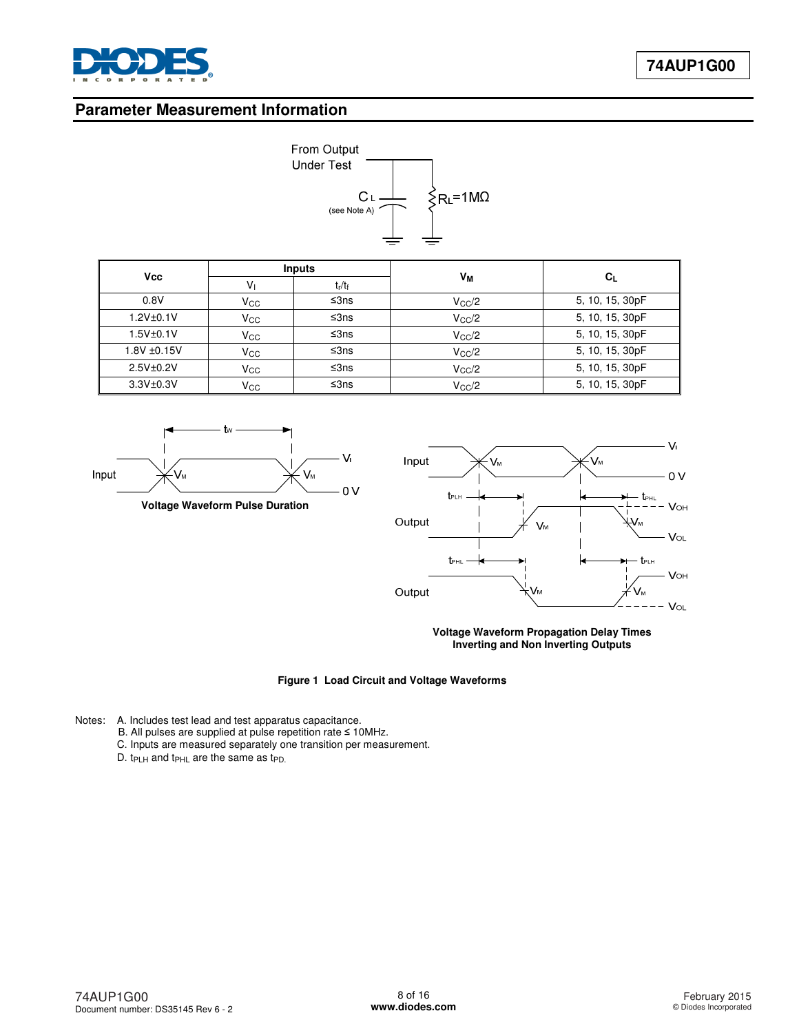

# **Parameter Measurement Information**



| <b>Vcc</b>       | <b>Inputs</b> |           |                |                 |
|------------------|---------------|-----------|----------------|-----------------|
|                  | Vı            | $t_r/t_f$ | Vм             | $C_{L}$         |
| 0.8V             | $V_{\rm CC}$  | ≤ $3ns$   | $V_{\rm CC}/2$ | 5, 10, 15, 30pF |
| 1.2V±0.1V        | $V_{\rm CC}$  | ≤ $3ns$   | $V_{\rm CC}/2$ | 5, 10, 15, 30pF |
| $1.5V + 0.1V$    | $\rm V_{CC}$  | ≤ $3ns$   | $V_{\rm CC}/2$ | 5, 10, 15, 30pF |
| $1.8V \pm 0.15V$ | $V_{\rm CC}$  | ≤3ns      | $V_{\rm CC}/2$ | 5, 10, 15, 30pF |
| 2.5V±0.2V        | $V_{\rm CC}$  | ≤ $3ns$   | $V_{\rm CC}/2$ | 5, 10, 15, 30pF |
| 3.3V±0.3V        | Vcc           | ≤3ns      | $V_{CC}/2$     | 5, 10, 15, 30pF |



**Voltage Waveform Pulse Duration** 



**Voltage Waveform Propagation Delay Times Inverting and Non Inverting Outputs**

**Figure 1 Load Circuit and Voltage Waveforms**

- Notes: A. Includes test lead and test apparatus capacitance.
	- B. All pulses are supplied at pulse repetition rate ≤ 10MHz.
		- C. Inputs are measured separately one transition per measurement.
		- D. t<sub>PLH</sub> and t<sub>PHL</sub> are the same as t<sub>PD.</sub>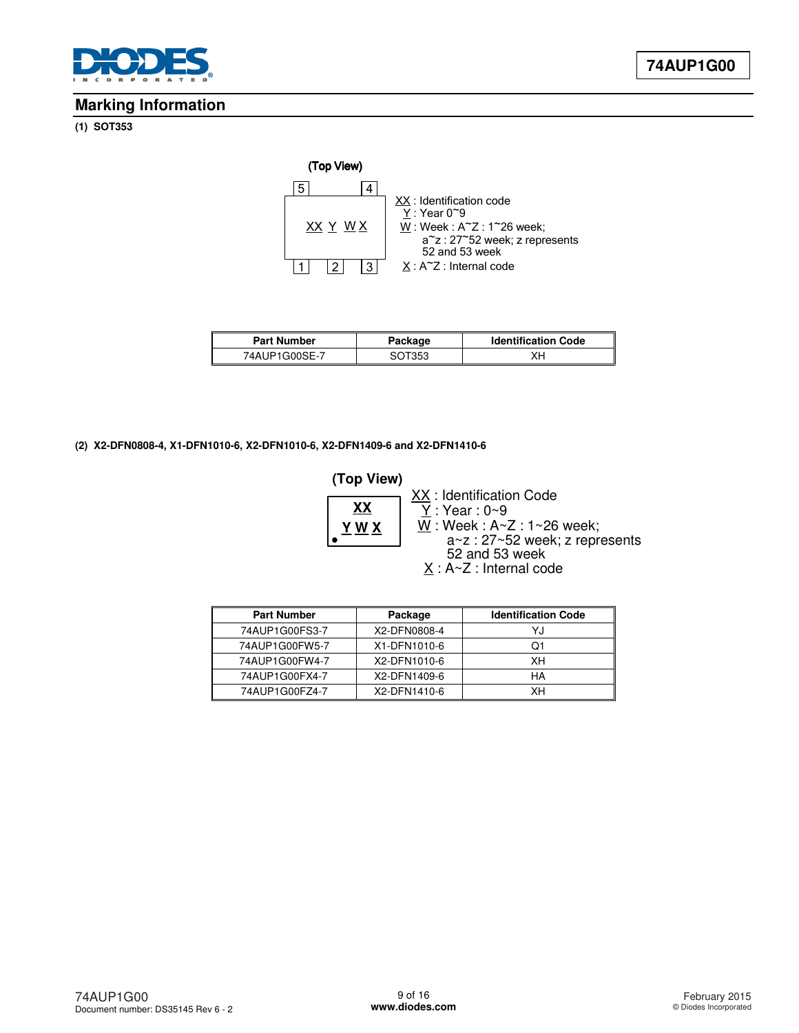

### **Marking Information**

#### **(1) SOT353**



| <b>Part Number</b> | Package | <b>Identification Code</b> |  |
|--------------------|---------|----------------------------|--|
| 74AUP1G00SE-7      | SOT353  | XΗ                         |  |

#### **(2) X2-DFN0808-4, X1-DFN1010-6, X2-DFN1010-6, X2-DFN1409-6 and X2-DFN1410-6**

#### $Y : Year : 0~9$ **(Top View)**  $\underline{X}$  : A~Z : Internal code **Y W X XX** XX: Identification Code  $\underline{W}$  : Week : A~Z : 1~26 week; a~z : 27~52 week; z represents 52 and 53 week

| <b>Part Number</b> | Package      | <b>Identification Code</b> |
|--------------------|--------------|----------------------------|
| 74AUP1G00FS3-7     | X2-DFN0808-4 | YJ                         |
| 74AUP1G00FW5-7     | X1-DFN1010-6 | Ο1                         |
| 74AUP1G00FW4-7     | X2-DFN1010-6 | XН                         |
| 74AUP1G00FX4-7     | X2-DFN1409-6 | HA                         |
| 74AUP1G00FZ4-7     | X2-DFN1410-6 | xн                         |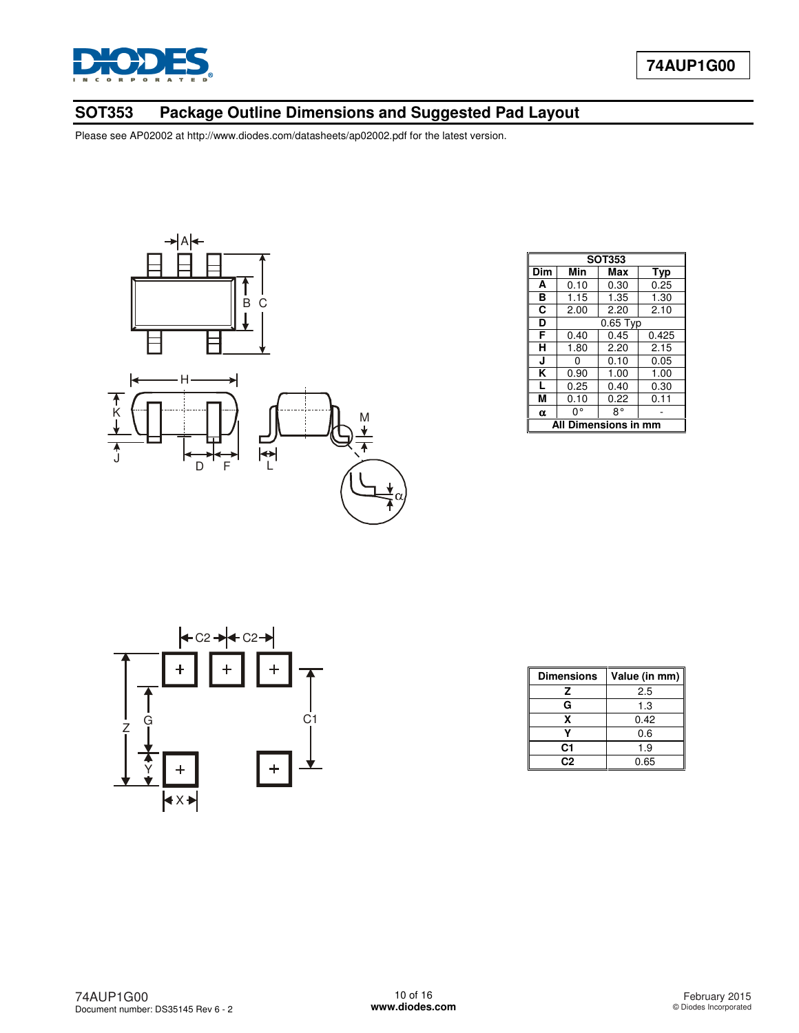

# **SOT353 Package Outline Dimensions and Suggested Pad Layout**



|                      | <b>SOT353</b> |            |       |  |  |
|----------------------|---------------|------------|-------|--|--|
| Dim                  | Min           | Max        | Typ   |  |  |
| A                    | 0.10          | 0.30       | 0.25  |  |  |
| в                    | 1.15          | 1.35       | 1.30  |  |  |
| C                    | 2.00          | 2.20       | 2.10  |  |  |
| D                    |               | $0.65$ Typ |       |  |  |
| F                    | 0.40          | 0.45       | 0.425 |  |  |
| н                    | 1.80          | 2.20       | 2.15  |  |  |
| J                    | O             | 0.10       | 0.05  |  |  |
| κ                    | 0.90          | 1.00       | 1.00  |  |  |
| L                    | 0.25          | 0.40       | 0.30  |  |  |
| М                    | 0.10          | 0.22       | 0.11  |  |  |
| $\alpha$             | 0°            | 8°         |       |  |  |
| All Dimensions in mm |               |            |       |  |  |



| <b>Dimensions</b> | Value (in mm) |  |
|-------------------|---------------|--|
| z                 | 2.5           |  |
| G                 | 1.3           |  |
| x                 | 0.42          |  |
|                   | 0.6           |  |
| C1                | 1.9           |  |
| C.S               | 0.65          |  |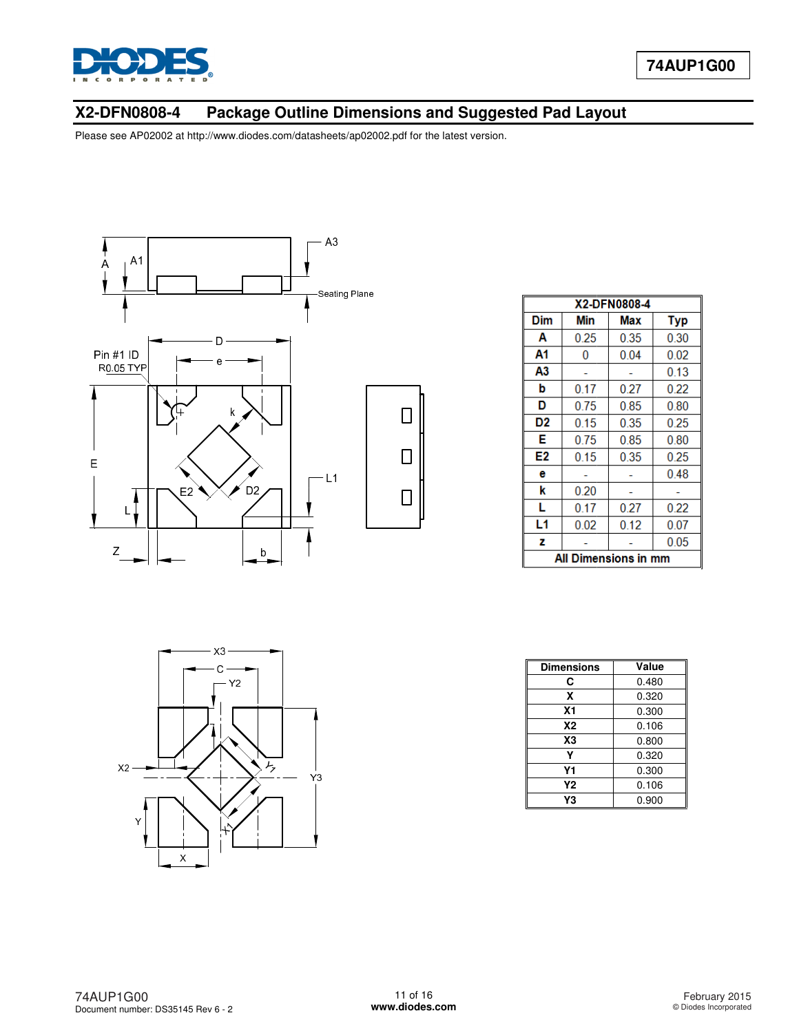

### **X2-DFN0808-4 Package Outline Dimensions Package Outline Dimensions and Suggested Pad Layout**

Please see AP02002 at [http://www.diodes.com/datasheets/ap02002.pdf fo](http://www.diodes.com/datasheets/ap02002.pdf)r the latest version.



|     | X2-DFN0808-4         |      |            |  |  |
|-----|----------------------|------|------------|--|--|
| Dim | Min                  | Max  | <b>Typ</b> |  |  |
| A   | 0.25                 | 0.35 | 0.30       |  |  |
| A1  | 0                    | 0.04 | 0.02       |  |  |
| А3  |                      |      | 0.13       |  |  |
| b   | 0.17                 | 0.27 | 0.22       |  |  |
| D   | 0.75                 | 0.85 | 0.80       |  |  |
| D2  | 0.15                 | 0.35 | 0.25       |  |  |
| E   | 0.75                 | 0.85 | 0.80       |  |  |
| E2  | 0.15                 | 0.35 | 0.25       |  |  |
| е   |                      |      | 0.48       |  |  |
| k   | 0.20                 |      |            |  |  |
| L   | 0.17                 | 0.27 | 0.22       |  |  |
| L1  | 0.02                 | 0.12 | 0.07       |  |  |
| z   |                      |      | 0.05       |  |  |
|     | All Dimensions in mm |      |            |  |  |



| <b>Dimensions</b> | Value |
|-------------------|-------|
| C                 | 0.480 |
| x                 | 0.320 |
| X <sub>1</sub>    | 0.300 |
| <b>X2</b>         | 0.106 |
| X <sub>3</sub>    | 0.800 |
| ٧                 | 0.320 |
| Υ1                | 0.300 |
| Υ2                | 0.106 |
| Y3                | 0.900 |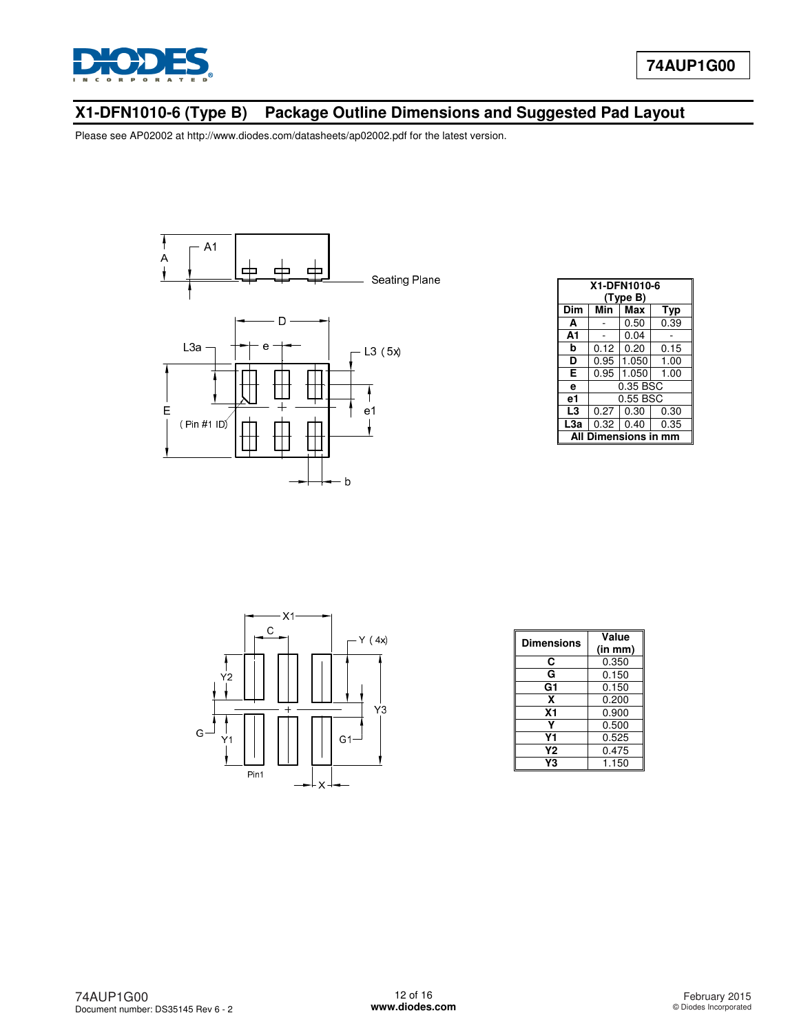

# **X1-DFN1010-6 (Type B) Package Outline Dimensions and Suggested Pad Layout**



| X1-DFN1010-6          |          |          |      |  |  |
|-----------------------|----------|----------|------|--|--|
|                       |          |          |      |  |  |
|                       |          | (Type B) |      |  |  |
| Dim                   | Min      | Max      | Typ  |  |  |
| A                     |          | 0.50     | 0.39 |  |  |
| A1                    |          | 0.04     |      |  |  |
| b                     | 0.12     | 0.20     | 0.15 |  |  |
| D                     | 0.95     | 1.050    | 1.00 |  |  |
| Е                     | 0.95     | 1.050    | 1.00 |  |  |
| e                     | 0.35 BSC |          |      |  |  |
| е1                    | 0.55 BSC |          |      |  |  |
| L3                    | 0.27     | 0.30     | 0.30 |  |  |
| L <sub>3a</sub>       | 0.32     | 0.40     | 0.35 |  |  |
| Dimensions in mm<br>Δ |          |          |      |  |  |



| Dimensions     | Value   |  |
|----------------|---------|--|
|                | (in mm) |  |
| C              | 0.350   |  |
| G              | 0.150   |  |
| G1             | 0.150   |  |
| x              | 0.200   |  |
| X <sub>1</sub> | 0.900   |  |
|                | 0.500   |  |
| Υ1             | 0.525   |  |
| Υ2             | 0.475   |  |
| Y3             | 1.150   |  |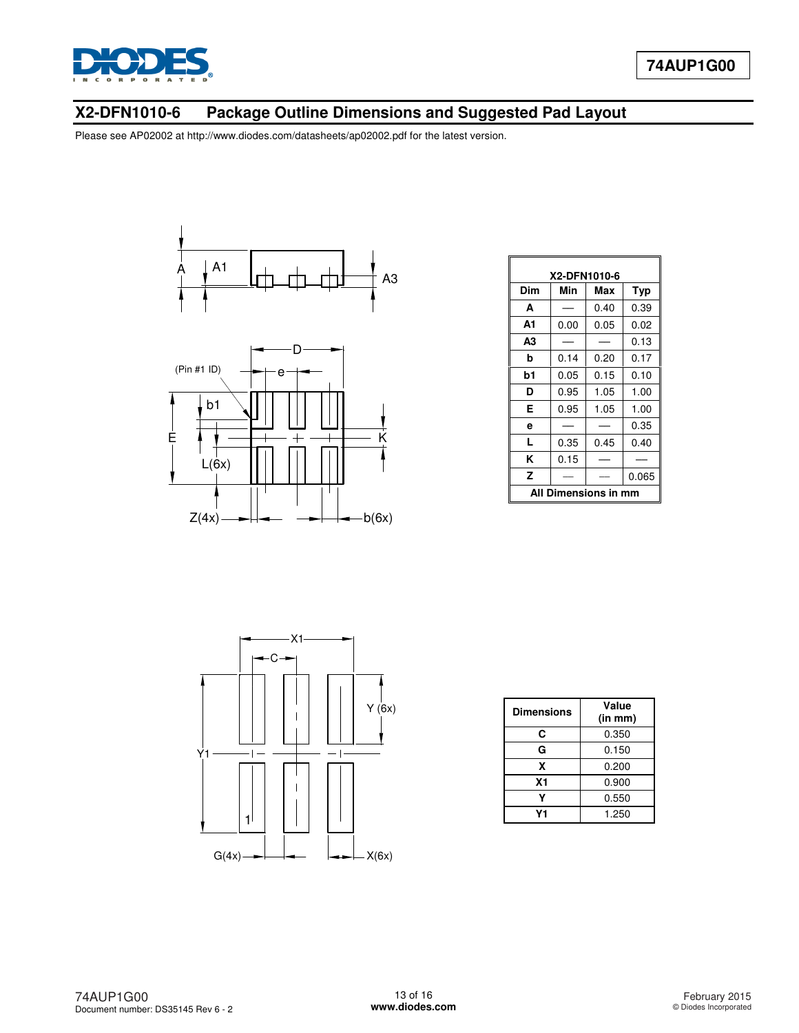

# **X2-DFN1010-6 Package Outline Dimensions and Suggested Pad Layout**





| X2-DFN1010-6            |      |      |            |  |
|-------------------------|------|------|------------|--|
| Dim                     | Min  | Max  | <b>Typ</b> |  |
| A                       |      | 0.40 | 0.39       |  |
| А1                      | 0.00 | 0.05 | 0.02       |  |
| A3                      |      |      | 0.13       |  |
| b                       | 0.14 | 0.20 | 0.17       |  |
| b1                      | 0.05 | 0.15 | 0.10       |  |
| D                       | 0.95 | 1.05 | 1.00       |  |
| Е                       | 0.95 | 1.05 | 1.00       |  |
| е                       |      |      | 0.35       |  |
| L                       | 0.35 | 0.45 | 0.40       |  |
| ĸ                       | 0.15 |      |            |  |
| z                       |      |      | 0.065      |  |
| Dimensions in mm<br>All |      |      |            |  |



| <b>Dimensions</b> | Value<br>(in m <sub>m</sub> ) |  |
|-------------------|-------------------------------|--|
| C                 | 0.350                         |  |
| G                 | 0.150                         |  |
| x                 | 0.200                         |  |
| X <sub>1</sub>    | 0.900                         |  |
|                   | 0.550                         |  |
| ۷1                | 1.250                         |  |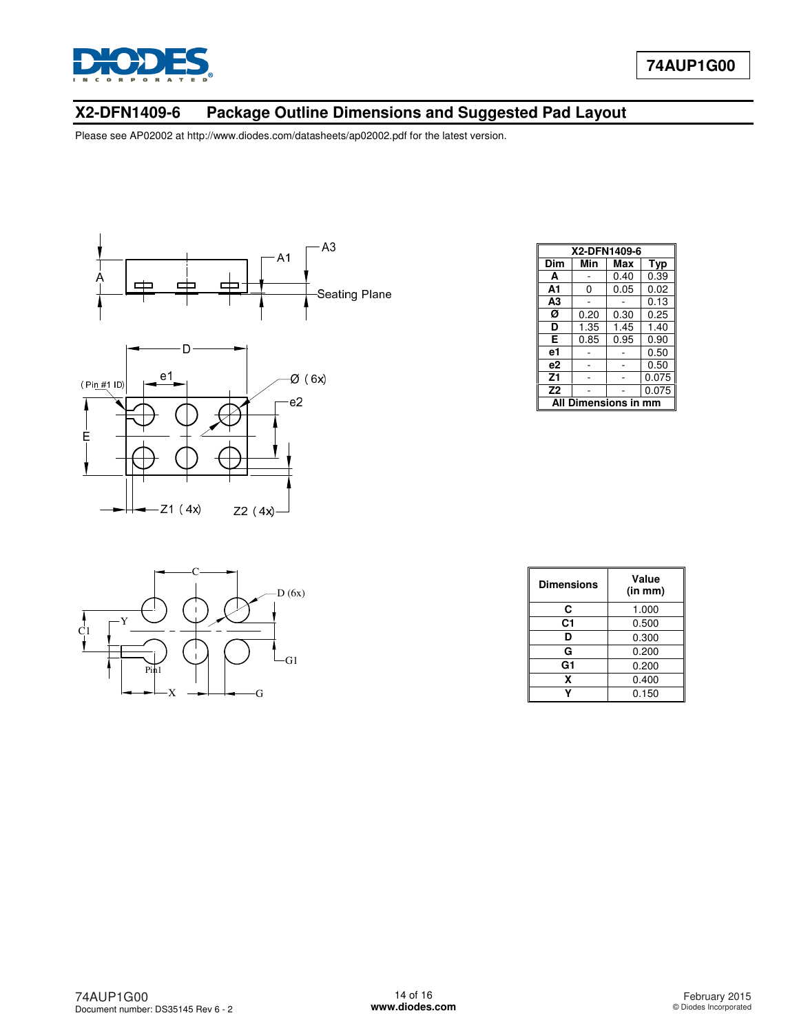

# **X2-DFN1409-6 Package Outline Dimensions and Suggested Pad Layout**



| X2-DFN1409-6            |      |      |       |  |
|-------------------------|------|------|-------|--|
| Dim                     | Min  | Max  | Typ   |  |
| A                       |      | 0.40 | 0.39  |  |
| A1                      | 0    | 0.05 | 0.02  |  |
| A <sub>3</sub>          |      |      | 0.13  |  |
| Ø                       | 0.20 | 0.30 | 0.25  |  |
| D                       | 1.35 | 1.45 | 1.40  |  |
| Е                       | 0.85 | 0.95 | 0.90  |  |
| е1                      |      |      | 0.50  |  |
| e2                      |      |      | 0.50  |  |
| Z1                      |      |      | 0.075 |  |
| Z <sub>2</sub>          |      |      | 0.075 |  |
| Dimensions in mm<br>Αll |      |      |       |  |



| <b>Dimensions</b> | Value<br>(in m <sub>m</sub> ) |
|-------------------|-------------------------------|
| С                 | 1.000                         |
| C1                | 0.500                         |
| D                 | 0.300                         |
| G                 | 0.200                         |
| G1                | 0.200                         |
| x                 | 0.400                         |
|                   | 0.150                         |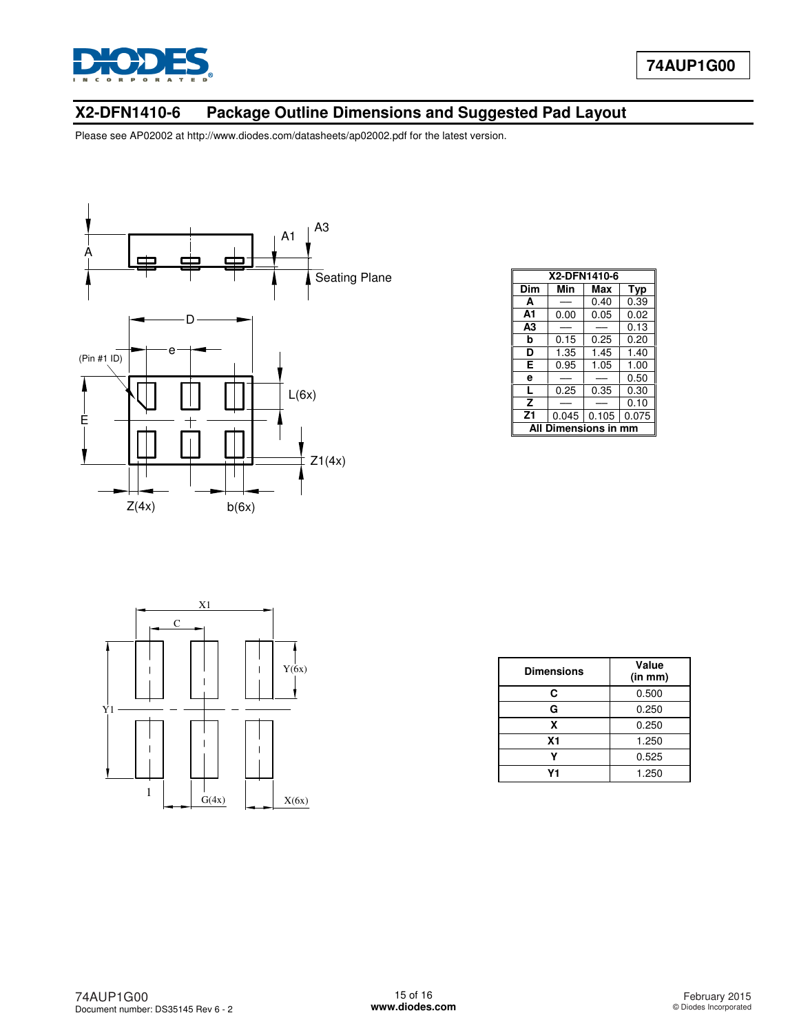

# **X2-DFN1410-6 Package Outline Dimensions and Suggested Pad Layout**



| X2-DFN1410-6            |       |       |       |  |
|-------------------------|-------|-------|-------|--|
| Dim                     | Min   | Max   | Typ   |  |
| A                       |       | 0.40  | 0.39  |  |
| A1                      | 0.00  | 0.05  | 0.02  |  |
| A3                      |       |       | 0.13  |  |
| b                       | 0.15  | 0.25  | 0.20  |  |
| D                       | 1.35  | 1.45  | 1.40  |  |
| Е                       | 0.95  | 1.05  | 1.00  |  |
| е                       |       |       | 0.50  |  |
| L                       | 0.25  | 0.35  | 0.30  |  |
| $\overline{\mathsf{z}}$ |       |       | 0.10  |  |
| Z1                      | 0.045 | 0.105 | 0.075 |  |
| Δl<br>Dimensions in     |       |       |       |  |



| <b>Dimensions</b> | Value<br>(in mm) |
|-------------------|------------------|
| C                 | 0.500            |
| G                 | 0.250            |
| x                 | 0.250            |
| X <sub>1</sub>    | 1.250            |
|                   | 0.525            |
| J <sub>1</sub>    | 1.250            |